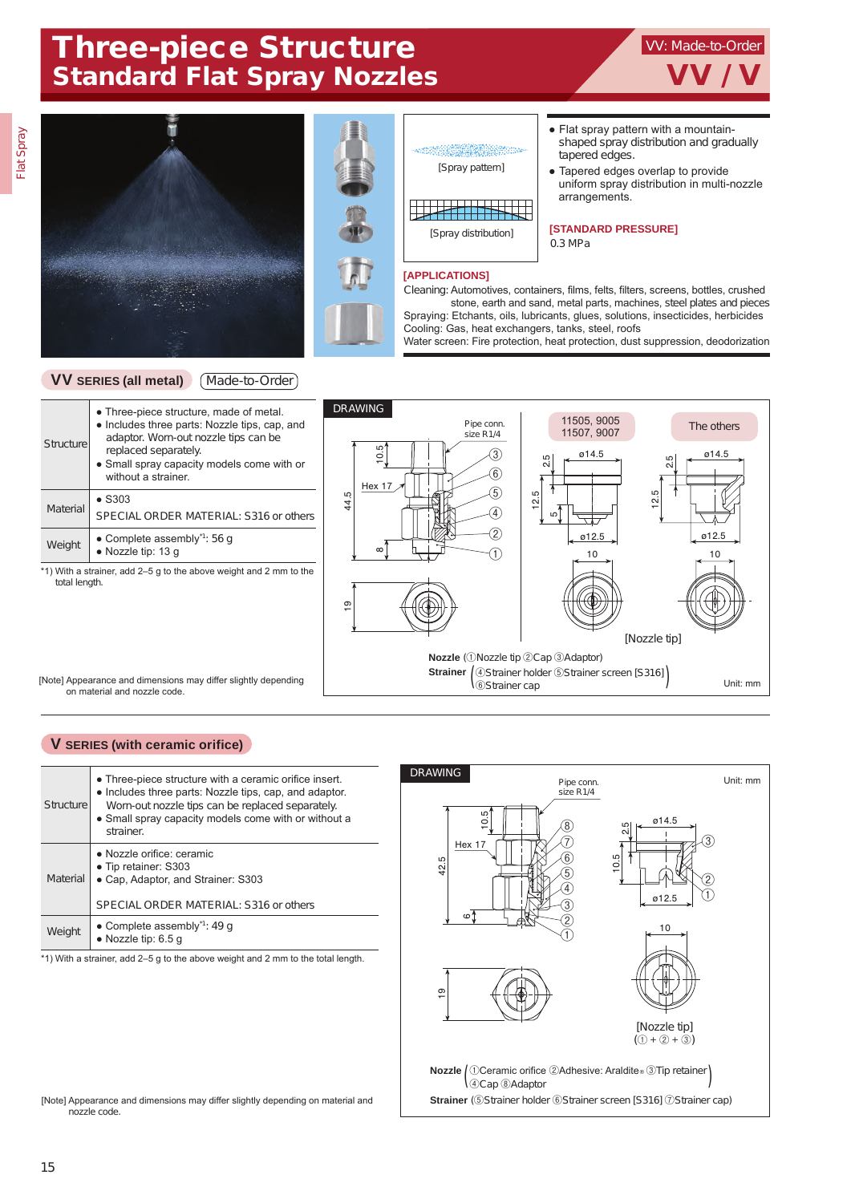## Three-piece Structure Standard Flat Spray Nozzles VV / V

# Flat Spray







#### **[APPLICATIONS]**

• Flat spray pattern with a mountainshaped spray distribution and gradually tapered edges.

VV: Made-to-Order

● Tapered edges overlap to provide uniform spray distribution in multi-nozzle arrangements.

**[STANDARD PRESSURE]** 0.3 MPa

Cleaning: Automotives, containers, films, felts, filters, screens, bottles, crushed stone, earth and sand, metal parts, machines, steel plates and pieces Spraying: Etchants, oils, lubricants, glues, solutions, insecticides, herbicides Cooling: Gas, heat exchangers, tanks, steel, roofs

Water screen: Fire protection, heat protection, dust suppression, deodorization

#### **VV SERIES (all metal)** Made-to-Order

| Structure | • Three-piece structure, made of metal.<br>• Includes three parts: Nozzle tips, cap, and<br>adaptor. Worn-out nozzle tips can be<br>replaced separately.<br>• Small spray capacity models come with or<br>without a strainer |
|-----------|------------------------------------------------------------------------------------------------------------------------------------------------------------------------------------------------------------------------------|
| Material  | $\bullet$ S303<br>SPECIAL ORDER MATERIAL: S316 or others                                                                                                                                                                     |
| Weight    | • Complete assembly <sup><math>1</math></sup> : 56 q<br>$\bullet$ Nozzle tip: 13 q                                                                                                                                           |

\*1) With a strainer, add 2–5 g to the above weight and 2 mm to the total length.

[Note] Appearance and dimensions may differ slightly depending on material and nozzle code.



#### **V SERIES (with ceramic orifice)**

| Structure | • Three-piece structure with a ceramic orifice insert.<br>• Includes three parts: Nozzle tips, cap, and adaptor.<br>Worn-out nozzle tips can be replaced separately.<br>• Small spray capacity models come with or without a<br>strainer. |
|-----------|-------------------------------------------------------------------------------------------------------------------------------------------------------------------------------------------------------------------------------------------|
| Material  | • Nozzle orifice: ceramic<br>• Tip retainer: S303<br>• Cap, Adaptor, and Strainer: S303<br>SPECIAL ORDER MATERIAL: S316 or others                                                                                                         |
| Weight    | • Complete assembly <sup><math>1</math></sup> : 49 q<br>$\bullet$ Nozzle tip: 6.5 q                                                                                                                                                       |

\*1) With a strainer, add 2–5 g to the above weight and 2 mm to the total length.



[Note] Appearance and dimensions may differ slightly depending on material and nozzle code.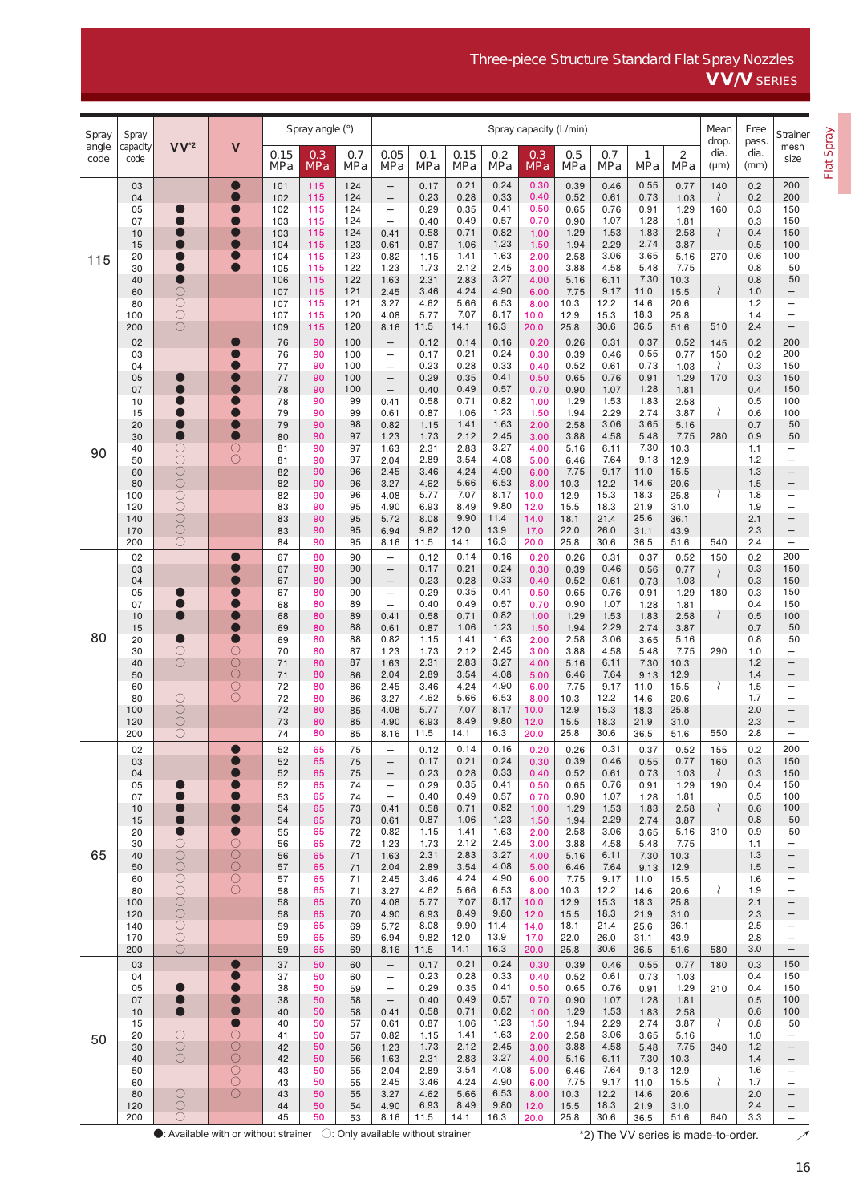### Three-piece Structure Standard Flat Spray Nozzles VV/V SERIES

| Spray         | Spray<br>capacity<br>code | V <sup>'2</sup>              | $\mathsf{V}$                                                                             | Spray angle (°) |                   |            | Spray capacity (L/min)                               |              |              |              |                   |                   |              |                                     |              | Mean                       | Free                  | Strainer                                             |
|---------------|---------------------------|------------------------------|------------------------------------------------------------------------------------------|-----------------|-------------------|------------|------------------------------------------------------|--------------|--------------|--------------|-------------------|-------------------|--------------|-------------------------------------|--------------|----------------------------|-----------------------|------------------------------------------------------|
| angle<br>code |                           |                              |                                                                                          | 0.15<br>MPa     | 0.3<br><b>MPa</b> | 0.7<br>MPa | 0.05<br>MPa                                          | 0.1<br>MPa   | 0.15<br>MPa  | 0.2<br>MPa   | 0.3<br><b>MPa</b> | 0.5<br><b>MPa</b> | 0.7<br>MPa   | 1<br>MPa                            | 2<br>MPa     | drop.<br>dia.<br>$(\mu m)$ | pass.<br>dia.<br>(mm) | mesh<br>size                                         |
|               | 03                        |                              | $\bullet$                                                                                | 101             | 115               | 124        | $\qquad \qquad -$                                    | 0.17         | 0.21         | 0.24         | 0.30              | 0.39              | 0.46         | 0.55                                | 0.77         | 140                        | 0.2                   | 200                                                  |
| 115           | 04                        |                              | $\bullet$                                                                                | 102             | 115               | 124        | $\overline{\phantom{0}}$                             | 0.23         | 0.28         | 0.33         | 0.40              | 0.52              | 0.61         | 0.73                                | 1.03         | ₹                          | 0.2                   | 200                                                  |
|               | 05<br>07                  | $\bullet$                    | $\bullet$                                                                                | 102<br>103      | 115<br>115        | 124<br>124 | $\overline{\phantom{m}}$<br>$\overline{\phantom{0}}$ | 0.29<br>0.40 | 0.35<br>0.49 | 0.41<br>0.57 | 0.50<br>0.70      | 0.65<br>0.90      | 0.76<br>1.07 | 0.91<br>1.28                        | 1.29<br>1.81 | 160                        | 0.3<br>0.3            | 150<br>150                                           |
|               | 10                        | O                            | $\bullet$                                                                                | 103             | 115               | 124        | 0.41                                                 | 0.58         | 0.71         | 0.82         | 1.00              | 1.29              | 1.53         | 1.83                                | 2.58         | $\langle$                  | 0.4                   | 150                                                  |
|               | 15                        | O<br>۰                       | $\bullet$                                                                                | 104             | 115<br>115        | 123<br>123 | 0.61                                                 | 0.87<br>1.15 | 1.06<br>1.41 | 1.23<br>1.63 | 1.50              | 1.94<br>2.58      | 2.29<br>3.06 | 2.74                                | 3.87         |                            | 0.5<br>0.6            | 100                                                  |
|               | 20<br>30                  | $\bullet$                    |                                                                                          | 104<br>105      | 115               | 122        | 0.82<br>1.23                                         | 1.73         | 2.12         | 2.45         | 2.00<br>3.00      | 3.88              | 4.58         | 3.65<br>5.48                        | 5.16<br>7.75 | 270                        | 0.8                   | 100<br>50                                            |
|               | 40                        | $\bullet$                    |                                                                                          | 106             | 115               | 122        | 1.63                                                 | 2.31         | 2.83         | 3.27         | 4.00              | 5.16              | 6.11         | 7.30                                | 10.3         |                            | 0.8                   | 50                                                   |
|               | 60<br>80                  | О<br>$\overline{O}$          |                                                                                          | 107<br>107      | 115<br>115        | 121<br>121 | 2.45<br>3.27                                         | 3.46<br>4.62 | 4.24<br>5.66 | 4.90<br>6.53 | 6.00<br>8.00      | 7.75<br>10.3      | 9.17<br>12.2 | 11.0<br>14.6                        | 15.5<br>20.6 | $\langle$                  | 1.0<br>1.2            | -<br>-                                               |
|               | 100                       | $\bigcirc$                   |                                                                                          | 107             | 115               | 120        | 4.08                                                 | 5.77         | 7.07         | 8.17         | 10.0              | 12.9              | 15.3         | 18.3                                | 25.8         |                            | 1.4                   | $\qquad \qquad -$                                    |
|               | 200                       | $\circ$                      |                                                                                          | 109             | 115               | 120        | 8.16                                                 | 11.5         | 14.1         | 16.3         | 20.0              | 25.8              | 30.6         | 36.5                                | 51.6         | 510                        | 2.4                   | $\equiv$                                             |
|               | 02                        |                              |                                                                                          | 76              | 90                | 100        | $\overline{\phantom{0}}$                             | 0.12         | 0.14         | 0.16         | 0.20              | 0.26              | 0.31         | 0.37                                | 0.52         | 145                        | 0.2                   | 200                                                  |
|               | 03<br>04                  |                              |                                                                                          | 76<br>77        | 90<br>90          | 100<br>100 | $\overline{\phantom{m}}$<br>$\overline{\phantom{0}}$ | 0.17<br>0.23 | 0.21<br>0.28 | 0.24<br>0.33 | 0.30<br>0.40      | 0.39<br>0.52      | 0.46<br>0.61 | 0.55<br>0.73                        | 0.77<br>1.03 | 150<br>₹                   | 0.2<br>0.3            | 200<br>150                                           |
|               | 05                        |                              |                                                                                          | 77              | 90                | 100        | $\overline{\phantom{m}}$                             | 0.29         | 0.35         | 0.41         | 0.50              | 0.65              | 0.76         | 0.91                                | 1.29         | 170                        | 0.3                   | 150                                                  |
|               | 07                        | ●                            |                                                                                          | 78              | 90                | 100        | $\overline{\phantom{m}}$                             | 0.40         | 0.49         | 0.57         | 0.70              | 0.90              | 1.07         | 1.28                                | 1.81         |                            | 0.4                   | 150                                                  |
|               | 10<br>15                  | 0<br>$\bullet$               | $\bullet$                                                                                | 78<br>79        | 90<br>90          | 99<br>99   | 0.41<br>0.61                                         | 0.58<br>0.87 | 0.71<br>1.06 | 0.82<br>1.23 | 1.00<br>1.50      | 1.29<br>1.94      | 1.53<br>2.29 | 1.83<br>2.74                        | 2.58<br>3.87 | ₹                          | 0.5<br>0.6            | 100<br>100                                           |
|               | 20                        | $\qquad \qquad \blacksquare$ |                                                                                          | 79              | 90                | 98         | 0.82                                                 | 1.15         | 1.41         | 1.63         | 2.00              | 2.58              | 3.06         | 3.65                                | 5.16         |                            | 0.7                   | 50                                                   |
|               | 30                        | $\bullet$                    | $\bullet$                                                                                | 80              | 90                | 97<br>97   | 1.23                                                 | 1.73         | 2.12         | 2.45         | 3.00              | 3.88              | 4.58         | 5.48<br>7.30                        | 7.75         | 280                        | 0.9                   | 50                                                   |
| 90            | 40<br>50                  | $\bigcirc$<br>$\bigcirc$     | $\circ$<br>$\bigcirc$                                                                    | 81<br>81        | 90<br>90          | 97         | 1.63<br>2.04                                         | 2.31<br>2.89 | 2.83<br>3.54 | 3.27<br>4.08 | 4.00<br>5.00      | 5.16<br>6.46      | 6.11<br>7.64 | 9.13                                | 10.3<br>12.9 |                            | 1.1<br>1.2            | $\qquad \qquad -$<br>$\overline{\phantom{0}}$        |
|               | 60                        | $\circlearrowright$          |                                                                                          | 82              | 90                | 96         | 2.45                                                 | 3.46         | 4.24         | 4.90         | 6.00              | 7.75              | 9.17         | 11.0                                | 15.5         |                            | 1.3                   | $\qquad \qquad -$                                    |
|               | 80<br>100                 | Ō<br>$\circlearrowright$     |                                                                                          | 82              | 90<br>90          | 96<br>96   | 3.27                                                 | 4.62<br>5.77 | 5.66<br>7.07 | 6.53<br>8.17 | 8.00              | 10.3<br>12.9      | 12.2<br>15.3 | 14.6<br>18.3                        | 20.6<br>25.8 | ₹                          | 1.5<br>1.8            | $\qquad \qquad -$<br>$\overline{\phantom{0}}$        |
|               | 120                       | $\overline{O}$               |                                                                                          | 82<br>83        | 90                | 95         | 4.08<br>4.90                                         | 6.93         | 8.49         | 9.80         | 10.0<br>12.0      | 15.5              | 18.3         | 21.9                                | 31.0         |                            | 1.9                   | $\overline{\phantom{0}}$                             |
|               | 140                       | Ŏ                            |                                                                                          | 83              | 90                | 95         | 5.72                                                 | 8.08         | 9.90         | 11.4         | 14.0              | 18.1              | 21.4         | 25.6                                | 36.1         |                            | 2.1                   | $\qquad \qquad -$                                    |
|               | 170<br>200                | $\circ$<br>$\bigcirc$        |                                                                                          | 83<br>84        | 90<br>90          | 95<br>95   | 6.94<br>8.16                                         | 9.82<br>11.5 | 12.0<br>14.1 | 13.9<br>16.3 | 17.0<br>20.0      | 22.0<br>25.8      | 26.0<br>30.6 | 31.1<br>36.5                        | 43.9<br>51.6 | 540                        | 2.3<br>2.4            | $\qquad \qquad -$<br>$\qquad \qquad -$               |
| 80            | 02                        |                              |                                                                                          | 67              | 80                | 90         | $\overline{\phantom{m}}$                             | 0.12         | 0.14         | 0.16         | 0.20              | 0.26              | 0.31         | 0.37                                | 0.52         | 150                        | 0.2                   | 200                                                  |
|               | 03                        |                              |                                                                                          | 67              | 80                | 90         | $\overline{\phantom{m}}$                             | 0.17         | 0.21         | 0.24         | 0.30              | 0.39              | 0.46         | 0.56                                | 0.77         | $\langle$                  | 0.3                   | 150                                                  |
|               | 04                        |                              | $\blacksquare$                                                                           | 67              | 80                | 90         | $\overline{\phantom{0}}$                             | 0.23         | 0.28         | 0.33         | 0.40              | 0.52              | 0.61         | 0.73                                | 1.03         |                            | 0.3                   | 150                                                  |
|               | 05<br>07                  | $\bullet$                    | $\blacksquare$                                                                           | 67<br>68        | 80<br>80          | 90<br>89   | $\overline{\phantom{a}}$<br>$\overline{\phantom{m}}$ | 0.29<br>0.40 | 0.35<br>0.49 | 0.41<br>0.57 | 0.50<br>0.70      | 0.65<br>0.90      | 0.76<br>1.07 | 0.91<br>1.28                        | 1.29<br>1.81 | 180                        | 0.3<br>0.4            | 150<br>150                                           |
|               | 10                        | $\bullet$                    | $\bullet$                                                                                | 68              | 80                | 89         | 0.41                                                 | 0.58         | 0.71         | 0.82         | 1.00              | 1.29              | 1.53         | 1.83                                | 2.58         | $\langle$                  | 0.5                   | 100                                                  |
|               | 15                        | $\bullet$                    | $\bullet$<br>$\bullet$                                                                   | 69              | 80                | 88<br>88   | 0.61                                                 | 0.87<br>1.15 | 1.06<br>1.41 | 1.23<br>1.63 | 1.50              | 1.94              | 2.29<br>3.06 | 2.74                                | 3.87         |                            | 0.7<br>0.8            | 50<br>50                                             |
|               | 20<br>30                  | $\bigcirc$                   | $\circ$                                                                                  | 69<br>70        | 80<br>80          | 87         | 0.82<br>1.23                                         | 1.73         | 2.12         | 2.45         | 2.00<br>3.00      | 2.58<br>3.88      | 4.58         | 3.65<br>5.48                        | 5.16<br>7.75 | 290                        | 1.0                   | $\overline{\phantom{0}}$                             |
|               | 40                        | $\circ$                      | $\circ$                                                                                  | 71              | 80                | 87         | 1.63                                                 | 2.31         | 2.83         | 3.27         | 4.00              | 5.16              | 6.11         | 7.30                                | 10.3         |                            | 1.2                   | $\overline{\phantom{0}}$                             |
|               | 50<br>60                  |                              | Ŏ                                                                                        | 71<br>72        | 80<br>80          | 86<br>86   | 2.04<br>2.45                                         | 2.89<br>3.46 | 3.54<br>4.24 | 4.08<br>4.90 | 5.00<br>6.00      | 6.46<br>7.75      | 7.64<br>9.17 | 9.13<br>11.0                        | 12.9<br>15.5 | ₹                          | 1.4<br>1.5            | $\overline{\phantom{0}}$<br>$\overline{\phantom{0}}$ |
|               | 80                        | $\circ$                      | $\bar{O}$                                                                                | 72              | 80                | 86         | 3.27                                                 | 4.62         | 5.66         | 6.53         | 8.00              | 10.3              | 12.2         | 14.6                                | 20.6         |                            | 1.7                   | $\overline{\phantom{m}}$                             |
|               | 100                       | $\bigcirc$                   |                                                                                          | 72              | 80                | 85         | 4.08                                                 | 5.77         | 7.07         | 8.17         | 10.0              | 12.9              | 15.3         | 18.3                                | 25.8         |                            | 2.0                   | $\qquad \qquad -$                                    |
|               | 120<br>200                | $\circ$<br>O                 |                                                                                          | 73<br>74        | 80<br>80          | 85<br>85   | 4.90<br>8.16                                         | 6.93<br>11.5 | 8.49<br>14.1 | 9.80<br>16.3 | 12.0<br>20.0      | 15.5<br>25.8      | 18.3<br>30.6 | 21.9<br>36.5                        | 31.0<br>51.6 | 550                        | 2.3<br>2.8            | -<br>$\qquad \qquad -$                               |
|               | 02                        |                              | $\bullet$                                                                                | 52              | 65                | 75         |                                                      | 0.12         | 0.14         | 0.16         | 0.20              | 0.26              | 0.31         | 0.37                                | 0.52         | 155                        | 0.2                   | 200                                                  |
|               | 03                        |                              |                                                                                          | 52              | 65                | 75         | -                                                    | 0.17         | 0.21         | 0.24         | 0.30              | 0.39              | 0.46         | 0.55                                | 0.77         | 160                        | 0.3                   | 150                                                  |
|               | 04                        |                              |                                                                                          | 52              | 65                | 75         | $\qquad \qquad -$                                    | 0.23         | 0.28         | 0.33         | 0.40              | 0.52              | 0.61         | 0.73                                | 1.03         | ₹                          | 0.3                   | 150                                                  |
|               | 05<br>07                  |                              | $\blacksquare$                                                                           | 52<br>53        | 65<br>65          | 74<br>74   | $\overline{\phantom{m}}$<br>$\overline{\phantom{m}}$ | 0.29<br>0.40 | 0.35<br>0.49 | 0.41<br>0.57 | 0.50<br>0.70      | 0.65<br>0.90      | 0.76<br>1.07 | 0.91<br>1.28                        | 1.29<br>1.81 | 190                        | 0.4<br>0.5            | 150<br>100                                           |
|               | 10                        | ۰                            |                                                                                          | 54              | 65                | 73         | 0.41                                                 | 0.58         | 0.71         | 0.82         | 1.00              | 1.29              | 1.53         | 1.83                                | 2.58         | ₹                          | 0.6                   | 100                                                  |
|               | 15                        | $\bullet$<br>$\bullet$       | $\bullet$<br>$\bullet$                                                                   | 54              | 65                | 73<br>72   | 0.61                                                 | 0.87         | 1.06<br>1.41 | 1.23<br>1.63 | 1.50              | 1.94<br>2.58      | 2.29<br>3.06 | 2.74                                | 3.87         | 310                        | 0.8<br>0.9            | 50<br>50                                             |
|               | 20<br>30                  | О                            | $\circlearrowright$                                                                      | 55<br>56        | 65<br>65          | 72         | 0.82<br>1.23                                         | 1.15<br>1.73 | 2.12         | 2.45         | 2.00<br>3.00      | 3.88              | 4.58         | 3.65<br>5.48                        | 5.16<br>7.75 |                            | 1.1                   | -                                                    |
| 65            | 40                        | $\bigcirc$                   | ŎOŎ                                                                                      | 56              | 65                | 71         | 1.63                                                 | 2.31         | 2.83         | 3.27         | 4.00              | 5.16              | 6.11         | 7.30                                | 10.3         |                            | 1.3                   | -                                                    |
|               | 50<br>60                  | $\bigcirc$<br>$\bigcirc$     |                                                                                          | 57<br>57        | 65<br>65          | 71<br>71   | 2.04<br>2.45                                         | 2.89<br>3.46 | 3.54<br>4.24 | 4.08<br>4.90 | 5.00<br>6.00      | 6.46<br>7.75      | 7.64<br>9.17 | 9.13<br>11.0                        | 12.9<br>15.5 |                            | 1.5<br>1.6            | -                                                    |
|               | 80                        | $\bigcirc$                   | $\circ$                                                                                  | 58              | 65                | 71         | 3.27                                                 | 4.62         | 5.66         | 6.53         | 8.00              | 10.3              | 12.2         | 14.6                                | 20.6         | ₹                          | 1.9                   | $\overline{\phantom{0}}$                             |
|               | 100                       | $\bigcirc$                   |                                                                                          | 58              | 65                | 70         | 4.08                                                 | 5.77         | 7.07         | 8.17         | 10.0              | 12.9              | 15.3         | 18.3                                | 25.8         |                            | 2.1                   | -                                                    |
|               | 120<br>140                | $\bigcirc$<br>$\bigcirc$     |                                                                                          | 58<br>59        | 65<br>65          | 70<br>69   | 4.90<br>5.72                                         | 6.93<br>8.08 | 8.49<br>9.90 | 9.80<br>11.4 | 12.0<br>14.0      | 15.5<br>18.1      | 18.3<br>21.4 | 21.9<br>25.6                        | 31.0<br>36.1 |                            | 2.3<br>2.5            | -                                                    |
|               | 170                       | $\bigcirc$                   |                                                                                          | 59              | 65                | 69         | 6.94                                                 | 9.82         | 12.0         | 13.9         | 17.0              | 22.0              | 26.0         | 31.1                                | 43.9         |                            | 2.8                   | $\qquad \qquad -$                                    |
|               | 200                       | О                            |                                                                                          | 59              | 65                | 69         | 8.16                                                 | 11.5         | 14.1         | 16.3         | 20.0              | 25.8              | 30.6         | 36.5                                | 51.6         | 580                        | 3.0                   | $\qquad \qquad -$                                    |
|               | 03<br>04                  |                              |                                                                                          | 37<br>37        | 50<br>50          | 60<br>60   | $\qquad \qquad -$<br>-                               | 0.17<br>0.23 | 0.21<br>0.28 | 0.24<br>0.33 | 0.30<br>0.40      | 0.39<br>0.52      | 0.46<br>0.61 | 0.55<br>0.73                        | 0.77<br>1.03 | 180                        | 0.3<br>0.4            | 150<br>150                                           |
|               | 05                        | U                            | $\bullet$                                                                                | 38              | 50                | 59         | $\overline{\phantom{m}}$                             | 0.29         | 0.35         | 0.41         | 0.50              | 0.65              | 0.76         | 0.91                                | 1.29         | 210                        | 0.4                   | 150                                                  |
|               | 07                        | $\bullet$                    |                                                                                          | 38              | 50                | 58         | $\qquad \qquad -$                                    | 0.40         | 0.49         | 0.57         | 0.70              | 0.90              | 1.07         | 1.28                                | 1.81         |                            | 0.5                   | 100                                                  |
| 50            | 10<br>15                  |                              | $\bullet$<br>$\bullet$                                                                   | 40<br>40        | 50<br>50          | 58<br>57   | 0.41<br>0.61                                         | 0.58<br>0.87 | 0.71<br>1.06 | 0.82<br>1.23 | 1.00<br>1.50      | 1.29<br>1.94      | 1.53<br>2.29 | 1.83<br>2.74                        | 2.58<br>3.87 | ₹                          | 0.6<br>0.8            | 100<br>50                                            |
|               | 20                        | $\bigcirc$                   | $\circ$                                                                                  | 41              | 50                | 57         | 0.82                                                 | 1.15         | 1.41         | 1.63         | 2.00              | 2.58              | 3.06         | 3.65                                | 5.16         |                            | 1.0                   | $\overline{\phantom{0}}$                             |
|               | 30                        | $\circlearrowright$          | $\overline{O}$                                                                           | 42              | 50                | 56         | 1.23                                                 | 1.73         | 2.12         | 2.45         | 3.00              | 3.88              | 4.58         | 5.48                                | 7.75         | 340                        | 1.2                   |                                                      |
|               | 40<br>50                  | $\bigcirc$                   | $\circ$                                                                                  | 42<br>43        | 50<br>50          | 56<br>55   | 1.63<br>2.04                                         | 2.31<br>2.89 | 2.83<br>3.54 | 3.27<br>4.08 | 4.00<br>5.00      | 5.16<br>6.46      | 6.11<br>7.64 | 7.30<br>9.13                        | 10.3<br>12.9 |                            | 1.4<br>1.6            | -                                                    |
|               | 60                        |                              | $\circ$                                                                                  | 43              | 50                | 55         | 2.45                                                 | 3.46         | 4.24         | 4.90         | 6.00              | 7.75              | 9.17         | 11.0                                | 15.5         | ₹                          | 1.7                   | $\qquad \qquad -$                                    |
|               | 80                        | О<br>О                       | $\bigcirc$                                                                               | 43              | 50                | 55         | 3.27                                                 | 4.62         | 5.66<br>8.49 | 6.53<br>9.80 | 8.00              | 10.3              | 12.2         | 14.6                                | 20.6         |                            | 2.0                   | $\qquad \qquad -$                                    |
|               | 120<br>200                | 0                            |                                                                                          | 44<br>45        | 50<br>50          | 54<br>53   | 4.90<br>8.16                                         | 6.93<br>11.5 | 14.1         | 16.3         | 12.0<br>20.0      | 15.5<br>25.8      | 18.3<br>30.6 | 21.9<br>36.5                        | 31.0<br>51.6 | 640                        | 2.4<br>3.3            | $\qquad \qquad -$<br>$\qquad \qquad -$               |
|               |                           |                              | $\bullet$ : Available with or without strainer $\circ$ : Only available without strainer |                 |                   |            |                                                      |              |              |              |                   |                   |              | *2) The VV series is made-to-order. |              |                            |                       |                                                      |